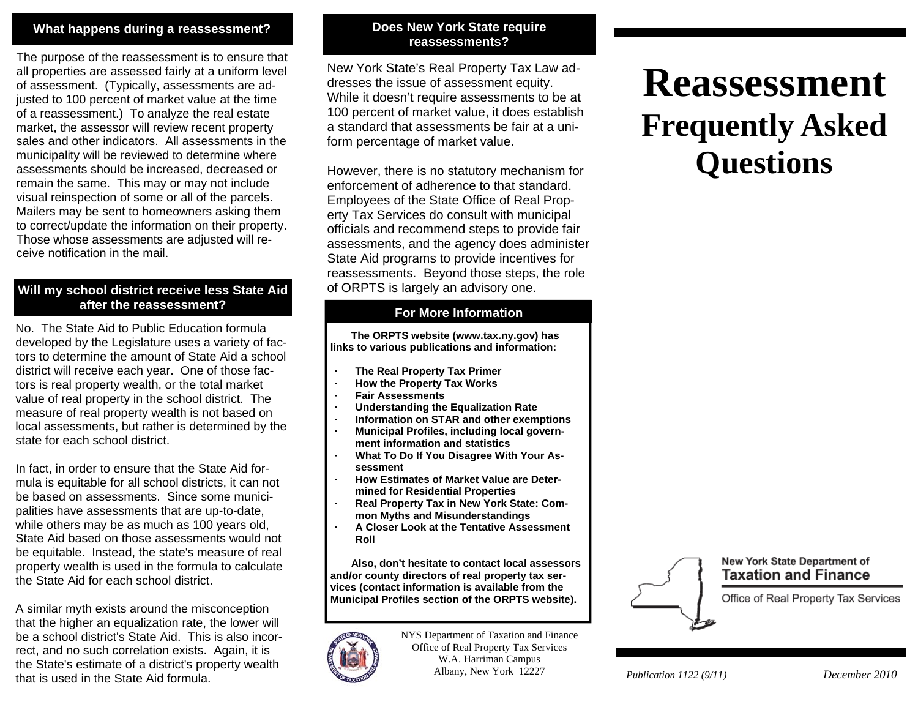### **What happens during a reassessment?**

The purpose of the reassessment is to ensure that all properties are assessed fairly at a uniform level of assessment. (Typically, assessments are adjusted to 100 percent of market value at the time of a reassessment.) To analyze the real estate market, the assessor will review recent property sales and other indicators. All assessments in the municipality will be reviewed to determine where assessments should be increased, decreased or remain the same. This may or may not include visual reinspection of some or all of the parcels. Mailers may be sent to homeowners asking them to correct/update the information on their property. Those whose assessments are adjusted will receive notification in the mail.

### **Will my school district receive less State Aid after the reassessment?**

No. The State Aid to Public Education formula developed by the Legislature uses a variety of factors to determine the amount of State Aid a school district will receive each year. One of those factors is real property wealth, or the total market value of real property in the school district. The measure of real property wealth is not based on local assessments, but rather is determined by the state for each school district.

In fact, in order to ensure that the State Aid formula is equitable for all school districts, it can not be based on assessments. Since some municipalities have assessments that are up-to-date, while others may be as much as 100 years old, State Aid based on those assessments would not be equitable. Instead, the state's measure of real property wealth is used in the formula to calculate the State Aid for each school district.

A similar myth exists around the misconception that the higher an equalization rate, the lower will be a school district's State Aid. This is also incorrect, and no such correlation exists. Again, it is the State's estimate of a district's property wealth that is used in the State Aid formula.

### **Does New York State require reassessments?**

New York State's Real Property Tax Law addresses the issue of assessment equity. While it doesn't require assessments to be at 100 percent of market value, it does establish a standard that assessments be fair at a uniform percentage of market value.

However, there is no statutory mechanism for enforcement of adherence to that standard. Employees of the State Office of Real Property Tax Services do consult with municipal officials and recommend steps to provide fair assessments, and the agency does administer State Aid programs to provide incentives for reassessments. Beyond those steps, the role of ORPTS is largely an advisory one.

### **For More Information**

 **The ORPTS website (www.tax.ny.gov) has links to various publications and information:** 

- **· The Real Property Tax Primer**
- **· How the Property Tax Works**
- **· Fair Assessments**
- **· Understanding the Equalization Rate**
- **· Information on STAR and other exemptions**
- **· Municipal Profiles, including local government information and statistics**
- **· What To Do If You Disagree With Your Assessment**
- **· How Estimates of Market Value are Determined for Residential Properties**
- **· Real Property Tax in New York State: Common Myths and Misunderstandings**
- **· A Closer Look at the Tentative Assessment Roll**

 **Also, don't hesitate to contact local assessors and/or county directors of real property tax services (contact information is available from the Municipal Profiles section of the ORPTS website).**



NYS Department of Taxation and Finance Office of Real Property Tax Services W.A. Harriman Campus Albany, New York 12227

# **Reassessment Frequently Asked Questions**

#### New York State Department of **Taxation and Finance**

Office of Real Property Tax Services